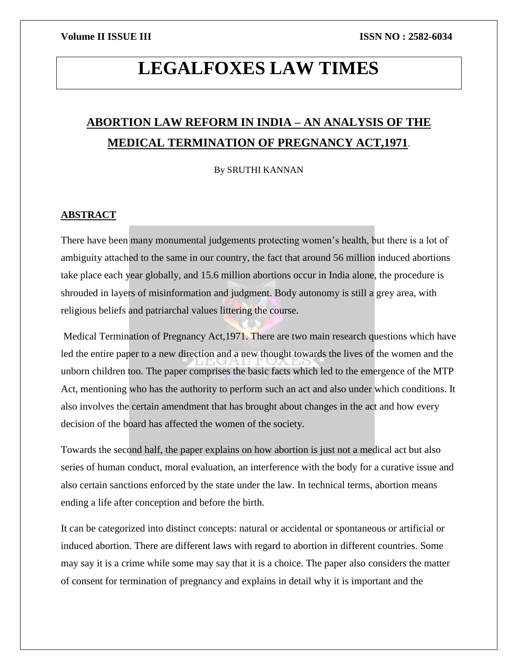# **LEGALFOXES LAW TIMES**

## **ABORTION LAW REFORM IN INDIA – AN ANALYSIS OF THE MEDICAL TERMINATION OF PREGNANCY ACT,1971**.

By SRUTHI KANNAN

#### **ABSTRACT**

There have been many monumental judgements protecting women's health, but there is a lot of ambiguity attached to the same in our country, the fact that around 56 million induced abortions take place each year globally, and 15.6 million abortions occur in India alone, the procedure is shrouded in layers of misinformation and judgment. Body autonomy is still a grey area, with religious beliefs and patriarchal values littering the course.

Medical Termination of Pregnancy Act,1971. There are two main research questions which have led the entire paper to a new direction and a new thought towards the lives of the women and the unborn children too. The paper comprises the basic facts which led to the emergence of the MTP Act, mentioning who has the authority to perform such an act and also under which conditions. It also involves the certain amendment that has brought about changes in the act and how every decision of the board has affected the women of the society.

Towards the second half, the paper explains on how abortion is just not a medical act but also series of human conduct, moral evaluation, an interference with the body for a curative issue and also certain sanctions enforced by the state under the law. In technical terms, abortion means ending a life after conception and before the birth.

It can be categorized into distinct concepts: natural or accidental or spontaneous or artificial or induced abortion. There are different laws with regard to abortion in different countries. Some may say it is a crime while some may say that it is a choice. The paper also considers the matter of consent for termination of pregnancy and explains in detail why it is important and the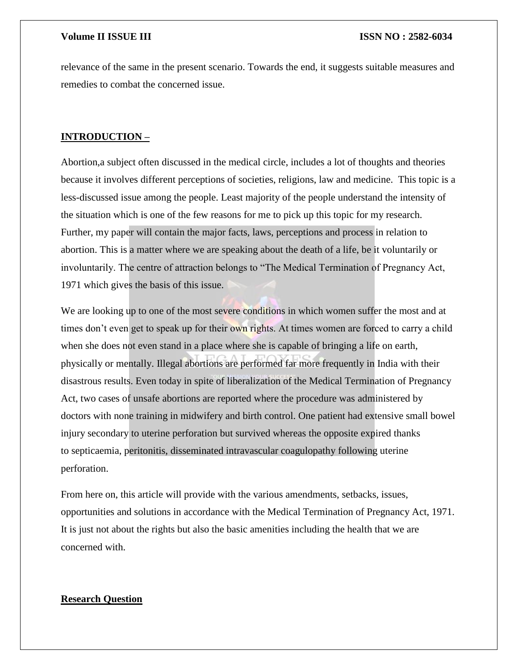relevance of the same in the present scenario. Towards the end, it suggests suitable measures and remedies to combat the concerned issue.

### **INTRODUCTION –**

Abortion,a subject often discussed in the medical circle, includes a lot of thoughts and theories because it involves different perceptions of societies, religions, law and medicine. This topic is a less-discussed issue among the people. Least majority of the people understand the intensity of the situation which is one of the few reasons for me to pick up this topic for my research. Further, my paper will contain the major facts, laws, perceptions and process in relation to abortion. This is a matter where we are speaking about the death of a life, be it voluntarily or involuntarily. The centre of attraction belongs to "The Medical Termination of Pregnancy Act, 1971 which gives the basis of this issue.

We are looking up to one of the most severe conditions in which women suffer the most and at times don't even get to speak up for their own rights. At times women are forced to carry a child when she does not even stand in a place where she is capable of bringing a life on earth, physically or mentally. Illegal abortions are performed far more frequently in India with their disastrous results. Even today in spite of liberalization of the Medical Termination of Pregnancy Act, two cases of unsafe abortions are reported where the procedure was administered by doctors with none training in midwifery and birth control. One patient had extensive small bowel injury secondary to uterine perforation but survived whereas the opposite expired thanks to septicaemia, peritonitis, disseminated intravascular coagulopathy following uterine perforation.

From here on, this article will provide with the various amendments, setbacks, issues, opportunities and solutions in accordance with the Medical Termination of Pregnancy Act, 1971. It is just not about the rights but also the basic amenities including the health that we are concerned with.

#### **Research Question**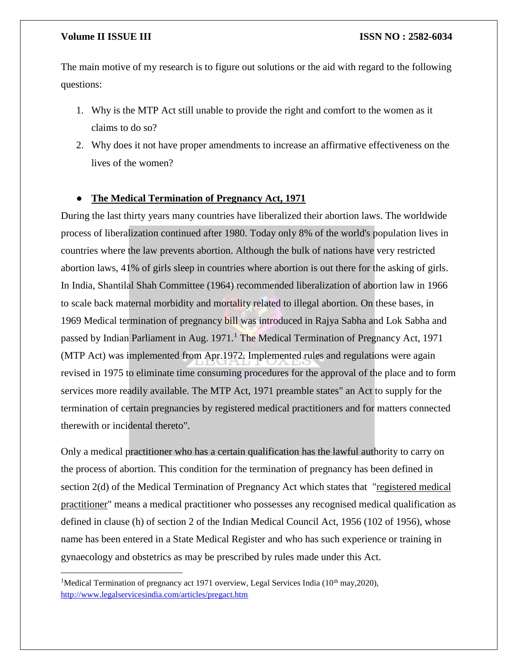$\overline{\phantom{a}}$ 

The main motive of my research is to figure out solutions or the aid with regard to the following questions:

- 1. Why is the MTP Act still unable to provide the right and comfort to the women as it claims to do so?
- 2. Why does it not have proper amendments to increase an affirmative effectiveness on the lives of the women?

### ● **The Medical Termination of Pregnancy Act, 1971**

During the last thirty years many countries have liberalized their abortion laws. The worldwide process of liberalization continued after 1980. Today only 8% of the world's population lives in countries where the law prevents abortion. Although the bulk of nations have very restricted abortion laws, 41% of girls sleep in countries where abortion is out there for the asking of girls. In India, Shantilal Shah Committee (1964) recommended liberalization of abortion law in 1966 to scale back maternal morbidity and mortality related to illegal abortion. On these bases, in 1969 Medical termination of pregnancy bill was introduced in Rajya Sabha and Lok Sabha and passed by Indian Parliament in Aug.  $1971<sup>1</sup>$  The Medical Termination of Pregnancy Act, 1971 (MTP Act) was implemented from Apr.1972. Implemented rules and regulations were again revised in 1975 to eliminate time consuming procedures for the approval of the place and to form services more readily available. The MTP Act, 1971 preamble states" an Act to supply for the termination of certain pregnancies by registered medical practitioners and for matters connected therewith or incidental thereto".

Only a medical practitioner who has a certain qualification has the lawful authority to carry on the process of abortion. This condition for the termination of pregnancy has been defined in section 2(d) of the Medical Termination of Pregnancy Act which states that "registered medical practitioner" means a medical practitioner who possesses any recognised medical qualification as defined in clause (h) of section 2 of the Indian Medical Council Act, 1956 (102 of 1956), whose name has been entered in a State Medical Register and who has such experience or training in gynaecology and obstetrics as may be prescribed by rules made under this Act.

<sup>&</sup>lt;sup>1</sup>Medical Termination of pregnancy act 1971 overview, Legal Services India ( $10<sup>th</sup>$  may, 2020), <http://www.legalservicesindia.com/articles/pregact.htm>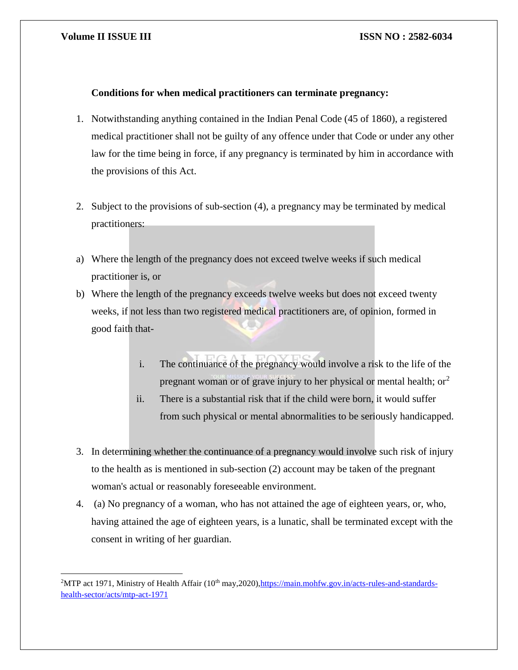l

#### **Volume II ISSUE III ISSN NO : 2582-6034**

### **Conditions for when medical practitioners can terminate pregnancy:**

- 1. Notwithstanding anything contained in the Indian Penal Code (45 of 1860), a registered medical practitioner shall not be guilty of any offence under that Code or under any other law for the time being in force, if any pregnancy is terminated by him in accordance with the provisions of this Act.
- 2. Subject to the provisions of sub-section (4), a pregnancy may be terminated by medical practitioners:
- a) Where the length of the pregnancy does not exceed twelve weeks if such medical practitioner is, or
- b) Where the length of the pregnancy exceeds twelve weeks but does not exceed twenty weeks, if not less than two registered medical practitioners are, of opinion, formed in good faith that
	- i. The continuance of the pregnancy would involve a risk to the life of the pregnant woman or of grave injury to her physical or mental health;  $or<sup>2</sup>$
	- ii. There is a substantial risk that if the child were born, it would suffer from such physical or mental abnormalities to be seriously handicapped.
- 3. In determining whether the continuance of a pregnancy would involve such risk of injury to the health as is mentioned in sub-section (2) account may be taken of the pregnant woman's actual or reasonably foreseeable environment.
- 4. (a) No pregnancy of a woman, who has not attained the age of eighteen years, or, who, having attained the age of eighteen years, is a lunatic, shall be terminated except with the consent in writing of her guardian.

<sup>&</sup>lt;sup>2</sup>MTP act 1971, Ministry of Health Affair (10<sup>th</sup> may, 2020), https://main.mohfw.gov.in/acts-rules-and-standards[health-sector/acts/mtp-act-1971](https://main.mohfw.gov.in/acts-rules-and-standards-health-sector/acts/mtp-act-1971)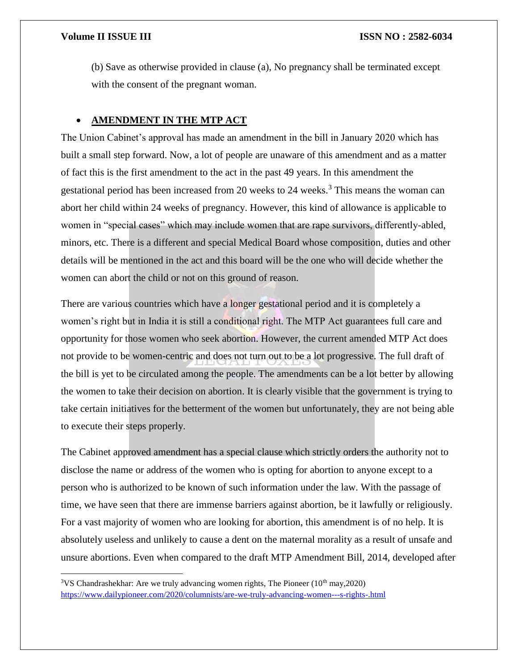l

(b) Save as otherwise provided in clause (a), No pregnancy shall be terminated except with the consent of the pregnant woman.

### **AMENDMENT IN THE MTP ACT**

The Union Cabinet's approval has made an amendment in the bill in January 2020 which has built a small step forward. Now, a lot of people are unaware of this amendment and as a matter of fact this is the first amendment to the act in the past 49 years. In this amendment the gestational period has been increased from 20 weeks to 24 weeks.<sup>3</sup> This means the woman can abort her child within 24 weeks of pregnancy. However, this kind of allowance is applicable to women in "special cases" which may include women that are rape survivors, differently-abled, minors, etc. There is a different and special Medical Board whose composition, duties and other details will be mentioned in the act and this board will be the one who will decide whether the women can abort the child or not on this ground of reason.

There are various countries which have a longer gestational period and it is completely a women's right but in India it is still a conditional right. The MTP Act guarantees full care and opportunity for those women who seek abortion. However, the current amended MTP Act does not provide to be women-centric and does not turn out to be a lot progressive. The full draft of the bill is yet to be circulated among the people. The amendments can be a lot better by allowing the women to take their decision on abortion. It is clearly visible that the government is trying to take certain initiatives for the betterment of the women but unfortunately, they are not being able to execute their steps properly.

The Cabinet approved amendment has a special clause which strictly orders the authority not to disclose the name or address of the women who is opting for abortion to anyone except to a person who is authorized to be known of such information under the law. With the passage of time, we have seen that there are immense barriers against abortion, be it lawfully or religiously. For a vast majority of women who are looking for abortion, this amendment is of no help. It is absolutely useless and unlikely to cause a dent on the maternal morality as a result of unsafe and unsure abortions. Even when compared to the draft MTP Amendment Bill, 2014, developed after

 $3\text{VS}$  Chandrashekhar: Are we truly advancing women rights, The Pioneer (10<sup>th</sup> may, 2020) <https://www.dailypioneer.com/2020/columnists/are-we-truly-advancing-women---s-rights-.html>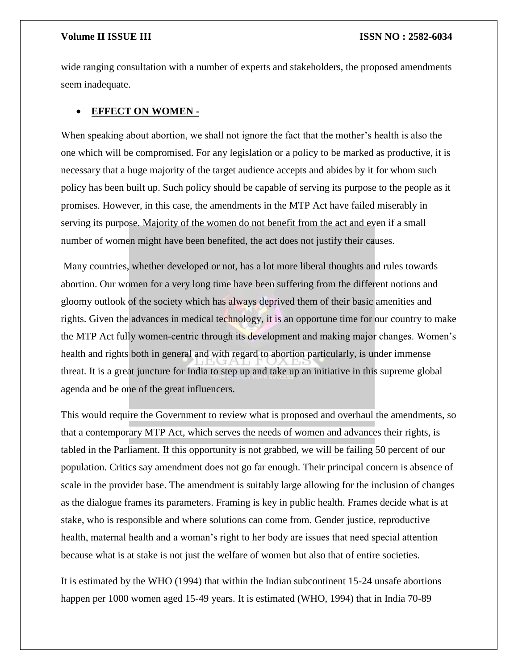wide ranging consultation with a number of experts and stakeholders, the proposed amendments seem inadequate.

#### **EFFECT ON WOMEN -**

When speaking about abortion, we shall not ignore the fact that the mother's health is also the one which will be compromised. For any legislation or a policy to be marked as productive, it is necessary that a huge majority of the target audience accepts and abides by it for whom such policy has been built up. Such policy should be capable of serving its purpose to the people as it promises. However, in this case, the amendments in the MTP Act have failed miserably in serving its purpose. Majority of the women do not benefit from the act and even if a small number of women might have been benefited, the act does not justify their causes.

Many countries, whether developed or not, has a lot more liberal thoughts and rules towards abortion. Our women for a very long time have been suffering from the different notions and gloomy outlook of the society which has always deprived them of their basic amenities and rights. Given the advances in medical technology, it is an opportune time for our country to make the MTP Act fully women-centric through its development and making major changes. Women's health and rights both in general and with regard to abortion particularly, is under immense threat. It is a great juncture for India to step up and take up an initiative in this supreme global agenda and be one of the great influencers.

This would require the Government to review what is proposed and overhaul the amendments, so that a contemporary MTP Act, which serves the needs of women and advances their rights, is tabled in the Parliament. If this opportunity is not grabbed, we will be failing 50 percent of our population. Critics say amendment does not go far enough. Their principal concern is absence of scale in the provider base. The amendment is suitably large allowing for the inclusion of changes as the dialogue frames its parameters. Framing is key in public health. Frames decide what is at stake, who is responsible and where solutions can come from. Gender justice, reproductive health, maternal health and a woman's right to her body are issues that need special attention because what is at stake is not just the welfare of women but also that of entire societies.

It is estimated by the WHO (1994) that within the Indian subcontinent 15-24 unsafe abortions happen per 1000 women aged 15-49 years. It is estimated (WHO, 1994) that in India 70-89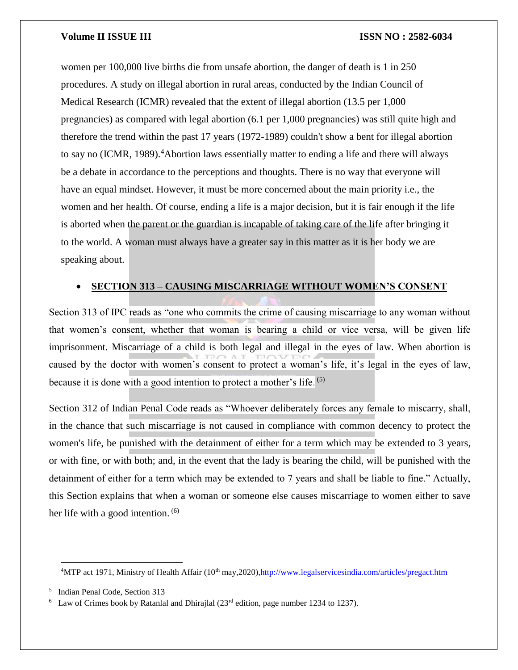women per 100,000 live births die from unsafe abortion, the danger of death is 1 in 250 procedures. A study on illegal abortion in rural areas, conducted by the Indian Council of Medical Research (ICMR) revealed that the extent of illegal abortion (13.5 per 1,000 pregnancies) as compared with legal abortion (6.1 per 1,000 pregnancies) was still quite high and therefore the trend within the past 17 years (1972-1989) couldn't show a bent for illegal abortion to say no (ICMR, 1989).<sup>4</sup>Abortion laws essentially matter to ending a life and there will always be a debate in accordance to the perceptions and thoughts. There is no way that everyone will have an equal mindset. However, it must be more concerned about the main priority i.e., the women and her health. Of course, ending a life is a major decision, but it is fair enough if the life is aborted when the parent or the guardian is incapable of taking care of the life after bringing it to the world. A woman must always have a greater say in this matter as it is her body we are speaking about.

### **SECTION 313 – CAUSING MISCARRIAGE WITHOUT WOMEN'S CONSENT**

Section 313 of IPC reads as "one who commits the crime of causing miscarriage to any woman without that women's consent, whether that woman is bearing a child or vice versa, will be given life imprisonment. Miscarriage of a child is both legal and illegal in the eyes of law. When abortion is caused by the doctor with women's consent to protect a woman's life, it's legal in the eyes of law, because it is done with a good intention to protect a mother's life.<sup>(5)</sup>

Section 312 of Indian Penal Code reads as "Whoever deliberately forces any female to miscarry, shall, in the chance that such miscarriage is not caused in compliance with common decency to protect the women's life, be punished with the detainment of either for a term which may be extended to 3 years, or with fine, or with both; and, in the event that the lady is bearing the child, will be punished with the detainment of either for a term which may be extended to 7 years and shall be liable to fine." Actually, this Section explains that when a woman or someone else causes miscarriage to women either to save her life with a good intention. <sup>(6)</sup>

 $\overline{a}$ <sup>4</sup>MTP act 1971, Ministry of Health Affair (10<sup>th</sup> may, 2020), http://www.legalservicesindia.com/articles/pregact.htm

<sup>5</sup> Indian Penal Code, Section 313

 $6$  Law of Crimes book by Ratanlal and Dhirajlal (23<sup>rd</sup> edition, page number 1234 to 1237).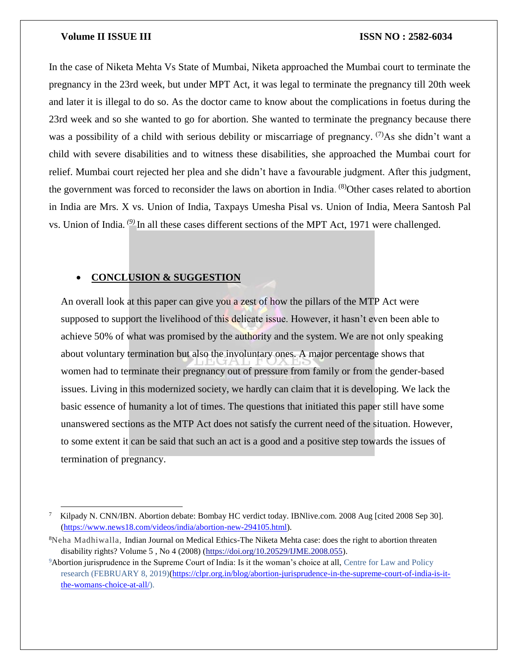$\overline{\phantom{a}}$ 

#### **Volume II ISSUE III ISSN NO : 2582-6034**

In the case of Niketa Mehta Vs State of Mumbai, Niketa approached the Mumbai court to terminate the pregnancy in the 23rd week, but under MPT Act, it was legal to terminate the pregnancy till 20th week and later it is illegal to do so. As the doctor came to know about the complications in foetus during the 23rd week and so she wanted to go for abortion. She wanted to terminate the pregnancy because there was a possibility of a child with serious debility or miscarriage of pregnancy.  $(7)$ As she didn't want a child with severe disabilities and to witness these disabilities, she approached the Mumbai court for relief. Mumbai court rejected her plea and she didn't have a favourable judgment. After this judgment, the government was forced to reconsider the laws on abortion in India. <sup>(8)</sup>Other cases related to abortion in India are Mrs. X vs. Union of India, Taxpays Umesha Pisal vs. Union of India, Meera Santosh Pal vs. Union of India*. (9)* In all these cases different sections of the MPT Act, 1971 were challenged.

### **CONCLUSION & SUGGESTION**

An overall look at this paper can give you a zest of how the pillars of the MTP Act were supposed to support the livelihood of this delicate issue. However, it hasn't even been able to achieve 50% of what was promised by the authority and the system. We are not only speaking about voluntary termination but also the involuntary ones. A major percentage shows that women had to terminate their pregnancy out of pressure from family or from the gender-based issues. Living in this modernized society, we hardly can claim that it is developing. We lack the basic essence of humanity a lot of times. The questions that initiated this paper still have some unanswered sections as the MTP Act does not satisfy the current need of the situation. However, to some extent it can be said that such an act is a good and a positive step towards the issues of termination of pregnancy.

<sup>7</sup> Kilpady N. CNN/IBN. Abortion debate: Bombay HC verdict today. IBNlive.com. 2008 Aug [cited 2008 Sep 30]. [\(https://www.news18.com/videos/india/abortion-new-294105.html\)](https://www.news18.com/videos/india/abortion-new-294105.html).

<sup>&</sup>lt;sup>8</sup>Neha Madhiwalla, Indian Journal on Medical Ethics-The Niketa Mehta case: does the right to abortion threaten disability rights? Volume 5 , No 4 (2008) [\(https://doi.org/10.20529/IJME.2008.055\)](https://doi.org/10.20529/IJME.2008.055).

<sup>9</sup>Abortion jurisprudence in the Supreme Court of India: Is it the woman's choice at all, Centre for Law and Policy research (FEBRUARY 8, 2019)[\(https://clpr.org.in/blog/abortion-jurisprudence-in-the-supreme-court-of-india-is-it](https://clpr.org.in/blog/abortion-jurisprudence-in-the-supreme-court-of-india-is-it-the-womans-choice-at-all/)[the-womans-choice-at-all/\)](https://clpr.org.in/blog/abortion-jurisprudence-in-the-supreme-court-of-india-is-it-the-womans-choice-at-all/).